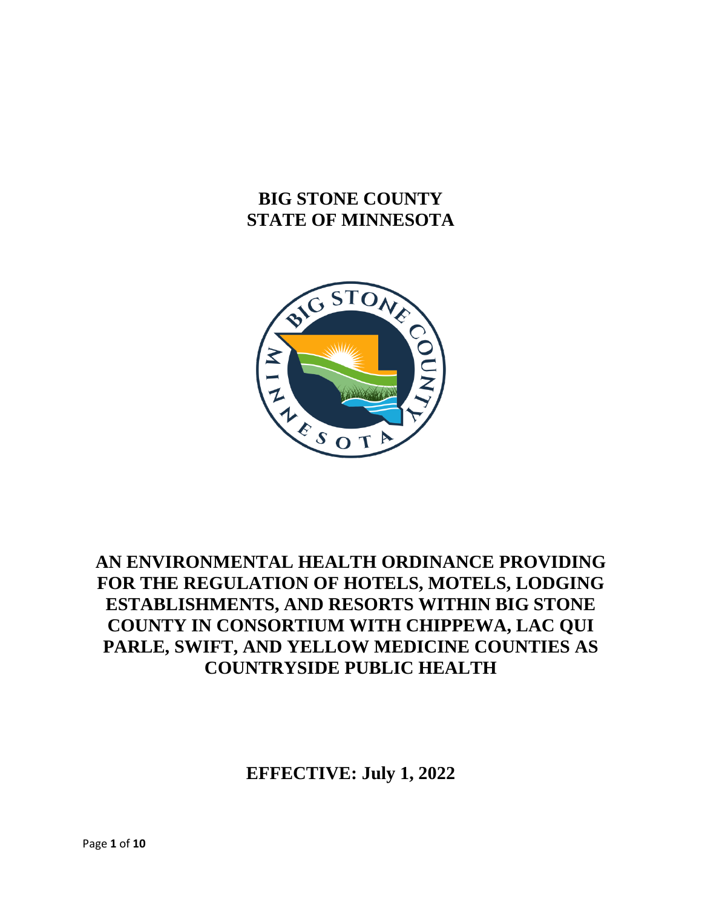## **BIG STONE COUNTY STATE OF MINNESOTA**



# **AN ENVIRONMENTAL HEALTH ORDINANCE PROVIDING FOR THE REGULATION OF HOTELS, MOTELS, LODGING ESTABLISHMENTS, AND RESORTS WITHIN BIG STONE COUNTY IN CONSORTIUM WITH CHIPPEWA, LAC QUI PARLE, SWIFT, AND YELLOW MEDICINE COUNTIES AS COUNTRYSIDE PUBLIC HEALTH**

**EFFECTIVE: July 1, 2022**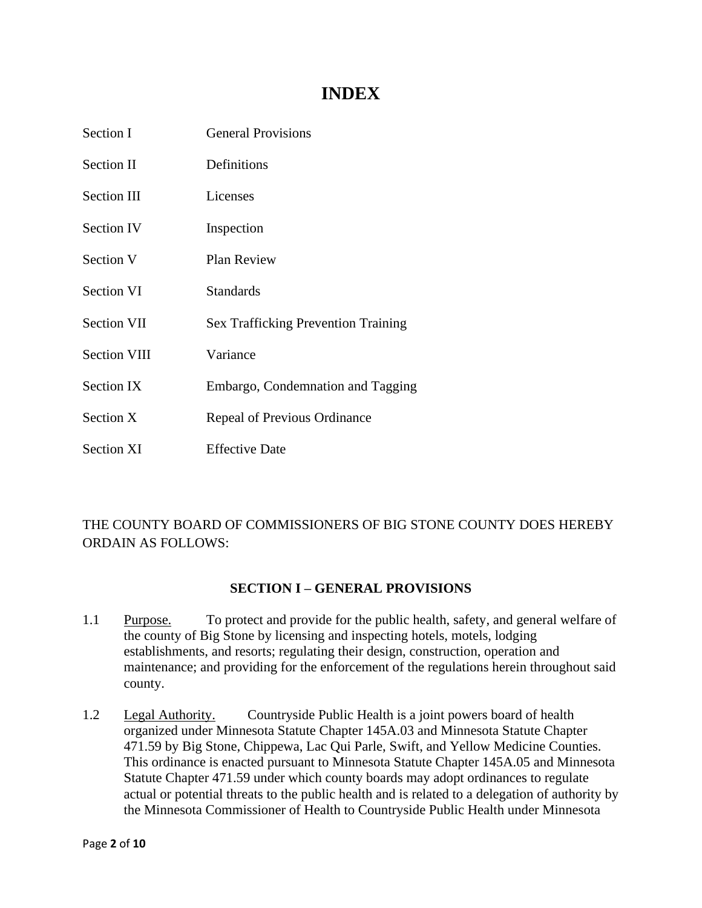## **INDEX**

| Section I           | <b>General Provisions</b>                  |
|---------------------|--------------------------------------------|
| Section II          | Definitions                                |
| <b>Section III</b>  | Licenses                                   |
| <b>Section IV</b>   | Inspection                                 |
| Section V           | <b>Plan Review</b>                         |
| <b>Section VI</b>   | Standards                                  |
| <b>Section VII</b>  | <b>Sex Trafficking Prevention Training</b> |
| <b>Section VIII</b> | Variance                                   |
| Section IX          | Embargo, Condemnation and Tagging          |
| Section X           | Repeal of Previous Ordinance               |
| <b>Section XI</b>   | <b>Effective Date</b>                      |

## THE COUNTY BOARD OF COMMISSIONERS OF BIG STONE COUNTY DOES HEREBY ORDAIN AS FOLLOWS:

## **SECTION I – GENERAL PROVISIONS**

- 1.1 Purpose. To protect and provide for the public health, safety, and general welfare of the county of Big Stone by licensing and inspecting hotels, motels, lodging establishments, and resorts; regulating their design, construction, operation and maintenance; and providing for the enforcement of the regulations herein throughout said county.
- 1.2 Legal Authority. Countryside Public Health is a joint powers board of health organized under Minnesota Statute Chapter 145A.03 and Minnesota Statute Chapter 471.59 by Big Stone, Chippewa, Lac Qui Parle, Swift, and Yellow Medicine Counties. This ordinance is enacted pursuant to Minnesota Statute Chapter 145A.05 and Minnesota Statute Chapter 471.59 under which county boards may adopt ordinances to regulate actual or potential threats to the public health and is related to a delegation of authority by the Minnesota Commissioner of Health to Countryside Public Health under Minnesota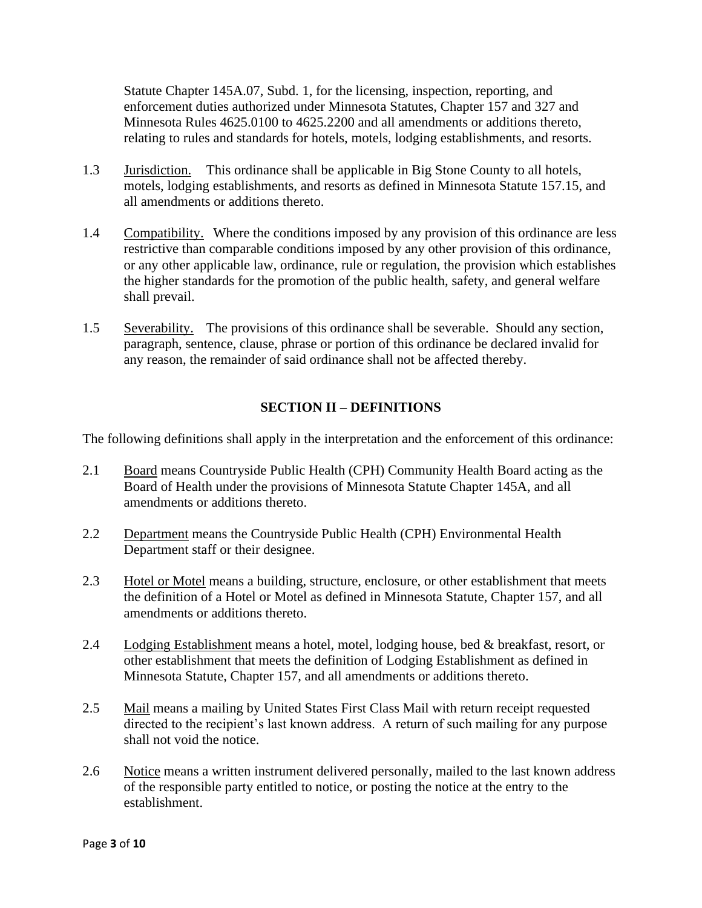Statute Chapter 145A.07, Subd. 1, for the licensing, inspection, reporting, and enforcement duties authorized under Minnesota Statutes, Chapter 157 and 327 and Minnesota Rules 4625.0100 to 4625.2200 and all amendments or additions thereto, relating to rules and standards for hotels, motels, lodging establishments, and resorts.

- 1.3 Jurisdiction. This ordinance shall be applicable in Big Stone County to all hotels, motels, lodging establishments, and resorts as defined in Minnesota Statute 157.15, and all amendments or additions thereto.
- 1.4 Compatibility. Where the conditions imposed by any provision of this ordinance are less restrictive than comparable conditions imposed by any other provision of this ordinance, or any other applicable law, ordinance, rule or regulation, the provision which establishes the higher standards for the promotion of the public health, safety, and general welfare shall prevail.
- 1.5 Severability. The provisions of this ordinance shall be severable. Should any section, paragraph, sentence, clause, phrase or portion of this ordinance be declared invalid for any reason, the remainder of said ordinance shall not be affected thereby.

## **SECTION II – DEFINITIONS**

The following definitions shall apply in the interpretation and the enforcement of this ordinance:

- 2.1 Board means Countryside Public Health (CPH) Community Health Board acting as the Board of Health under the provisions of Minnesota Statute Chapter 145A, and all amendments or additions thereto.
- 2.2 Department means the Countryside Public Health (CPH) Environmental Health Department staff or their designee.
- 2.3 Hotel or Motel means a building, structure, enclosure, or other establishment that meets the definition of a Hotel or Motel as defined in Minnesota Statute, Chapter 157, and all amendments or additions thereto.
- 2.4 Lodging Establishment means a hotel, motel, lodging house, bed & breakfast, resort, or other establishment that meets the definition of Lodging Establishment as defined in Minnesota Statute, Chapter 157, and all amendments or additions thereto.
- 2.5 Mail means a mailing by United States First Class Mail with return receipt requested directed to the recipient's last known address. A return of such mailing for any purpose shall not void the notice.
- 2.6 Notice means a written instrument delivered personally, mailed to the last known address of the responsible party entitled to notice, or posting the notice at the entry to the establishment.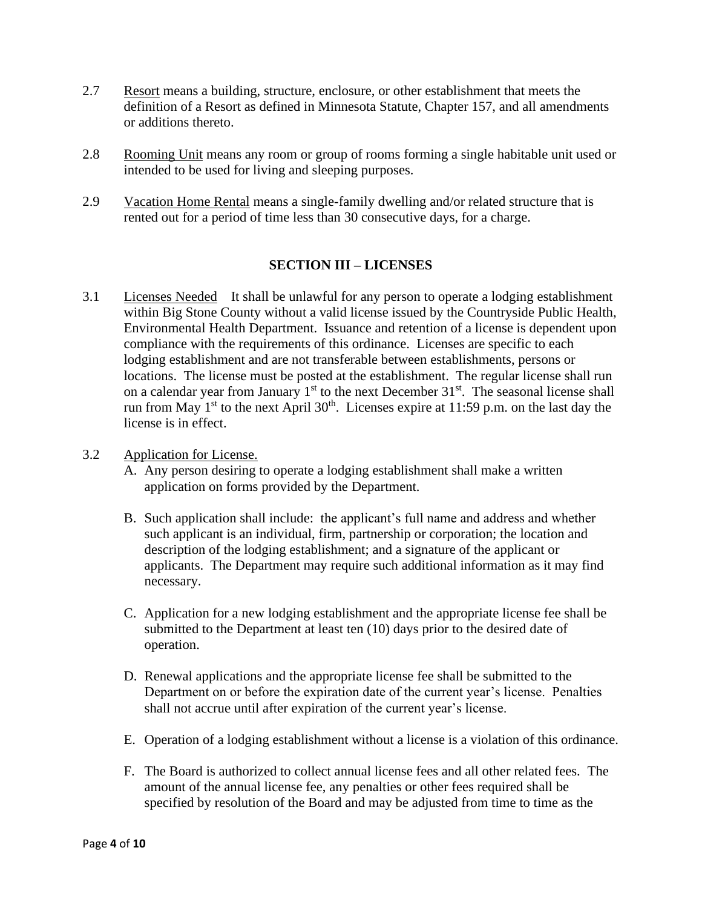- 2.7 Resort means a building, structure, enclosure, or other establishment that meets the definition of a Resort as defined in Minnesota Statute, Chapter 157, and all amendments or additions thereto.
- 2.8 Rooming Unit means any room or group of rooms forming a single habitable unit used or intended to be used for living and sleeping purposes.
- 2.9 Vacation Home Rental means a single-family dwelling and/or related structure that is rented out for a period of time less than 30 consecutive days, for a charge.

## **SECTION III – LICENSES**

3.1 Licenses Needed It shall be unlawful for any person to operate a lodging establishment within Big Stone County without a valid license issued by the Countryside Public Health, Environmental Health Department. Issuance and retention of a license is dependent upon compliance with the requirements of this ordinance. Licenses are specific to each lodging establishment and are not transferable between establishments, persons or locations. The license must be posted at the establishment. The regular license shall run on a calendar year from January  $1<sup>st</sup>$  to the next December  $31<sup>st</sup>$ . The seasonal license shall run from May  $1^{st}$  to the next April 30<sup>th</sup>. Licenses expire at 11:59 p.m. on the last day the license is in effect.

## 3.2 Application for License.

- A. Any person desiring to operate a lodging establishment shall make a written application on forms provided by the Department.
- B. Such application shall include: the applicant's full name and address and whether such applicant is an individual, firm, partnership or corporation; the location and description of the lodging establishment; and a signature of the applicant or applicants. The Department may require such additional information as it may find necessary.
- C. Application for a new lodging establishment and the appropriate license fee shall be submitted to the Department at least ten (10) days prior to the desired date of operation.
- D. Renewal applications and the appropriate license fee shall be submitted to the Department on or before the expiration date of the current year's license. Penalties shall not accrue until after expiration of the current year's license.
- E. Operation of a lodging establishment without a license is a violation of this ordinance.
- F. The Board is authorized to collect annual license fees and all other related fees. The amount of the annual license fee, any penalties or other fees required shall be specified by resolution of the Board and may be adjusted from time to time as the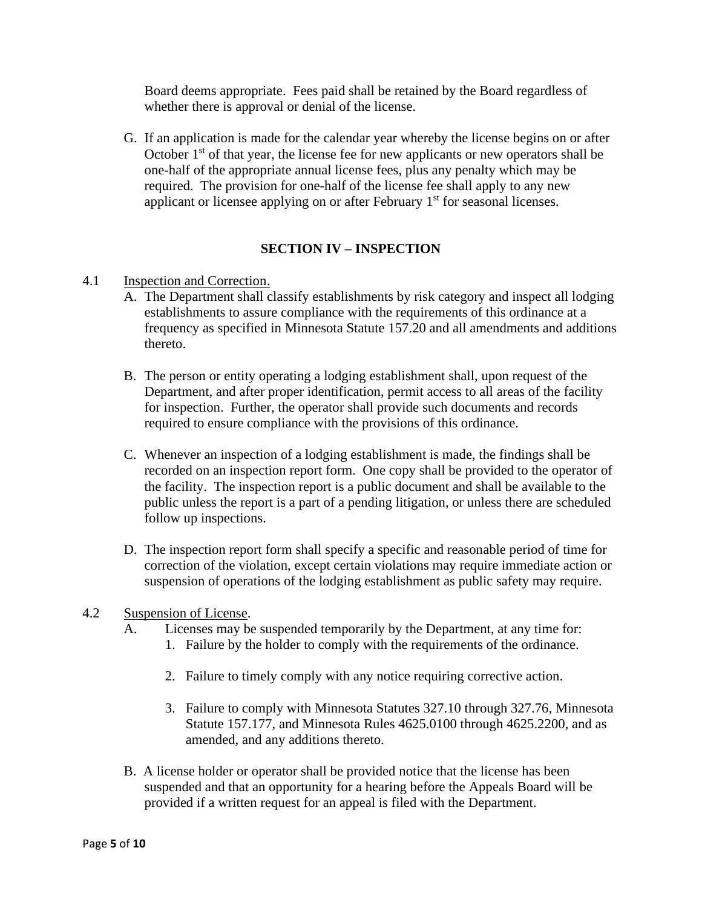Board deems appropriate. Fees paid shall be retained by the Board regardless of whether there is approval or denial of the license.

G. If an application is made for the calendar year whereby the license begins on or after October  $1<sup>st</sup>$  of that year, the license fee for new applicants or new operators shall be one-half of the appropriate annual license fees, plus any penalty which may be required. The provision for one-half of the license fee shall apply to any new applicant or licensee applying on or after February 1<sup>st</sup> for seasonal licenses.

## **SECTION IV – INSPECTION**

## 4.1 Inspection and Correction.

- A. The Department shall classify establishments by risk category and inspect all lodging establishments to assure compliance with the requirements of this ordinance at a frequency as specified in Minnesota Statute 157.20 and all amendments and additions thereto.
- B. The person or entity operating a lodging establishment shall, upon request of the Department, and after proper identification, permit access to all areas of the facility for inspection. Further, the operator shall provide such documents and records required to ensure compliance with the provisions of this ordinance.
- C. Whenever an inspection of a lodging establishment is made, the findings shall be recorded on an inspection report form. One copy shall be provided to the operator of the facility. The inspection report is a public document and shall be available to the public unless the report is a part of a pending litigation, or unless there are scheduled follow up inspections.
- D. The inspection report form shall specify a specific and reasonable period of time for correction of the violation, except certain violations may require immediate action or suspension of operations of the lodging establishment as public safety may require.

#### 4.2 Suspension of License.

- A. Licenses may be suspended temporarily by the Department, at any time for:
	- 1. Failure by the holder to comply with the requirements of the ordinance.
	- 2. Failure to timely comply with any notice requiring corrective action.
	- 3. Failure to comply with Minnesota Statutes 327.10 through 327.76, Minnesota Statute 157.177, and Minnesota Rules 4625.0100 through 4625.2200, and as amended, and any additions thereto.
- B. A license holder or operator shall be provided notice that the license has been suspended and that an opportunity for a hearing before the Appeals Board will be provided if a written request for an appeal is filed with the Department.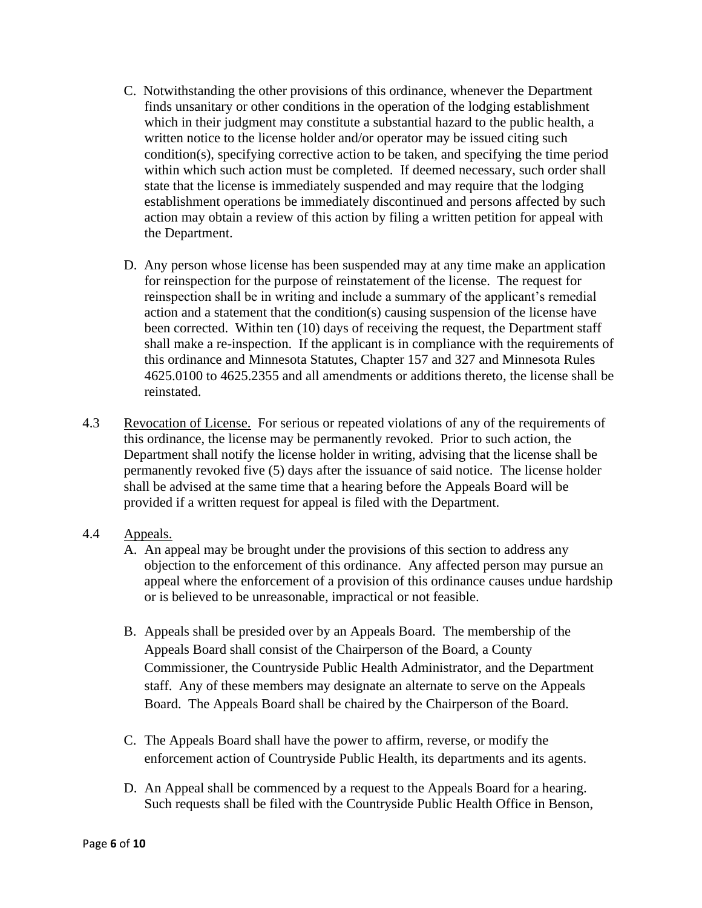- C. Notwithstanding the other provisions of this ordinance, whenever the Department finds unsanitary or other conditions in the operation of the lodging establishment which in their judgment may constitute a substantial hazard to the public health, a written notice to the license holder and/or operator may be issued citing such condition(s), specifying corrective action to be taken, and specifying the time period within which such action must be completed. If deemed necessary, such order shall state that the license is immediately suspended and may require that the lodging establishment operations be immediately discontinued and persons affected by such action may obtain a review of this action by filing a written petition for appeal with the Department.
- D. Any person whose license has been suspended may at any time make an application for reinspection for the purpose of reinstatement of the license. The request for reinspection shall be in writing and include a summary of the applicant's remedial action and a statement that the condition(s) causing suspension of the license have been corrected. Within ten (10) days of receiving the request, the Department staff shall make a re-inspection. If the applicant is in compliance with the requirements of this ordinance and Minnesota Statutes, Chapter 157 and 327 and Minnesota Rules 4625.0100 to 4625.2355 and all amendments or additions thereto, the license shall be reinstated.
- 4.3 Revocation of License. For serious or repeated violations of any of the requirements of this ordinance, the license may be permanently revoked. Prior to such action, the Department shall notify the license holder in writing, advising that the license shall be permanently revoked five (5) days after the issuance of said notice. The license holder shall be advised at the same time that a hearing before the Appeals Board will be provided if a written request for appeal is filed with the Department.

## 4.4 Appeals.

- A. An appeal may be brought under the provisions of this section to address any objection to the enforcement of this ordinance. Any affected person may pursue an appeal where the enforcement of a provision of this ordinance causes undue hardship or is believed to be unreasonable, impractical or not feasible.
- B. Appeals shall be presided over by an Appeals Board. The membership of the Appeals Board shall consist of the Chairperson of the Board, a County Commissioner, the Countryside Public Health Administrator, and the Department staff. Any of these members may designate an alternate to serve on the Appeals Board. The Appeals Board shall be chaired by the Chairperson of the Board.
- C. The Appeals Board shall have the power to affirm, reverse, or modify the enforcement action of Countryside Public Health, its departments and its agents.
- D. An Appeal shall be commenced by a request to the Appeals Board for a hearing. Such requests shall be filed with the Countryside Public Health Office in Benson,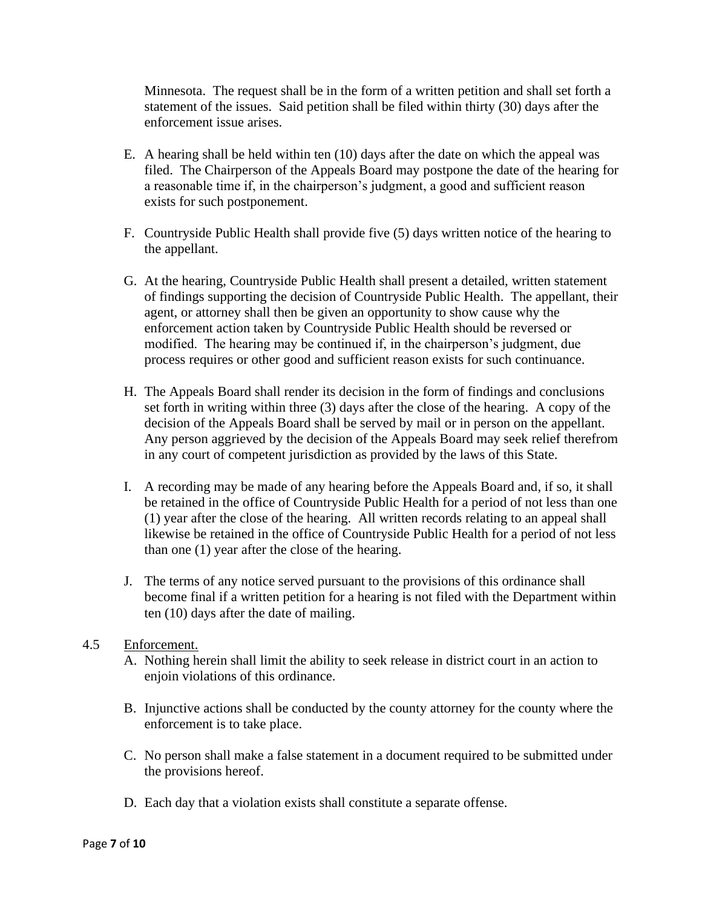Minnesota. The request shall be in the form of a written petition and shall set forth a statement of the issues. Said petition shall be filed within thirty (30) days after the enforcement issue arises.

- E. A hearing shall be held within ten (10) days after the date on which the appeal was filed. The Chairperson of the Appeals Board may postpone the date of the hearing for a reasonable time if, in the chairperson's judgment, a good and sufficient reason exists for such postponement.
- F. Countryside Public Health shall provide five (5) days written notice of the hearing to the appellant.
- G. At the hearing, Countryside Public Health shall present a detailed, written statement of findings supporting the decision of Countryside Public Health. The appellant, their agent, or attorney shall then be given an opportunity to show cause why the enforcement action taken by Countryside Public Health should be reversed or modified. The hearing may be continued if, in the chairperson's judgment, due process requires or other good and sufficient reason exists for such continuance.
- H. The Appeals Board shall render its decision in the form of findings and conclusions set forth in writing within three (3) days after the close of the hearing. A copy of the decision of the Appeals Board shall be served by mail or in person on the appellant. Any person aggrieved by the decision of the Appeals Board may seek relief therefrom in any court of competent jurisdiction as provided by the laws of this State.
- I. A recording may be made of any hearing before the Appeals Board and, if so, it shall be retained in the office of Countryside Public Health for a period of not less than one (1) year after the close of the hearing. All written records relating to an appeal shall likewise be retained in the office of Countryside Public Health for a period of not less than one (1) year after the close of the hearing.
- J. The terms of any notice served pursuant to the provisions of this ordinance shall become final if a written petition for a hearing is not filed with the Department within ten (10) days after the date of mailing.

## 4.5 Enforcement.

- A. Nothing herein shall limit the ability to seek release in district court in an action to enjoin violations of this ordinance.
- B. Injunctive actions shall be conducted by the county attorney for the county where the enforcement is to take place.
- C. No person shall make a false statement in a document required to be submitted under the provisions hereof.
- D. Each day that a violation exists shall constitute a separate offense.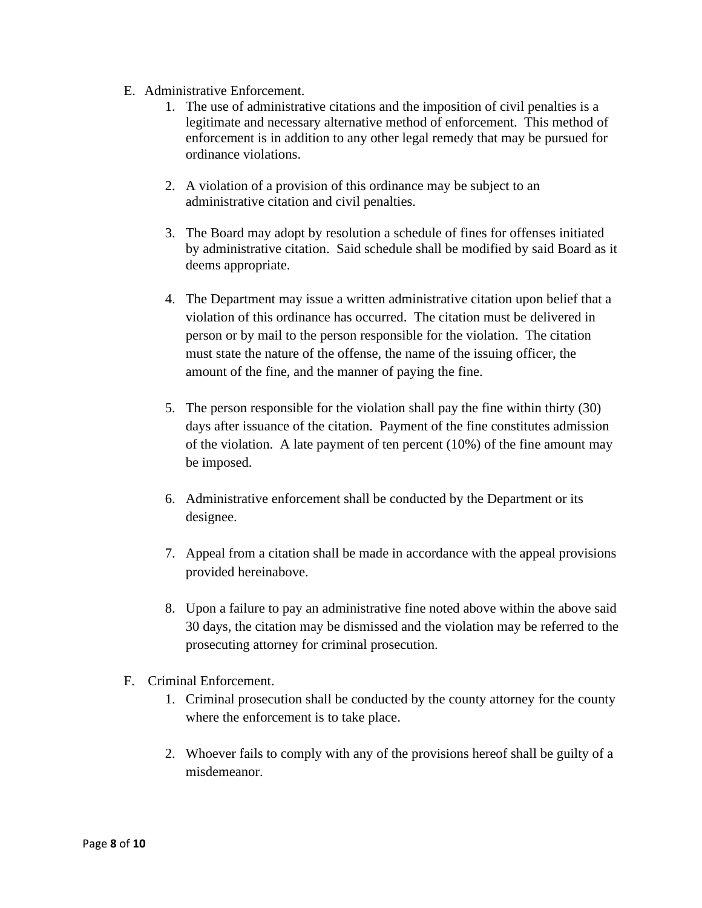- E. Administrative Enforcement.
	- 1. The use of administrative citations and the imposition of civil penalties is a legitimate and necessary alternative method of enforcement. This method of enforcement is in addition to any other legal remedy that may be pursued for ordinance violations.
	- 2. A violation of a provision of this ordinance may be subject to an administrative citation and civil penalties.
	- 3. The Board may adopt by resolution a schedule of fines for offenses initiated by administrative citation. Said schedule shall be modified by said Board as it deems appropriate.
	- 4. The Department may issue a written administrative citation upon belief that a violation of this ordinance has occurred. The citation must be delivered in person or by mail to the person responsible for the violation. The citation must state the nature of the offense, the name of the issuing officer, the amount of the fine, and the manner of paying the fine.
	- 5. The person responsible for the violation shall pay the fine within thirty (30) days after issuance of the citation. Payment of the fine constitutes admission of the violation. A late payment of ten percent  $(10\%)$  of the fine amount may be imposed.
	- 6. Administrative enforcement shall be conducted by the Department or its designee.
	- 7. Appeal from a citation shall be made in accordance with the appeal provisions provided hereinabove.
	- 8. Upon a failure to pay an administrative fine noted above within the above said 30 days, the citation may be dismissed and the violation may be referred to the prosecuting attorney for criminal prosecution.
- F. Criminal Enforcement.
	- 1. Criminal prosecution shall be conducted by the county attorney for the county where the enforcement is to take place.
	- 2. Whoever fails to comply with any of the provisions hereof shall be guilty of a misdemeanor.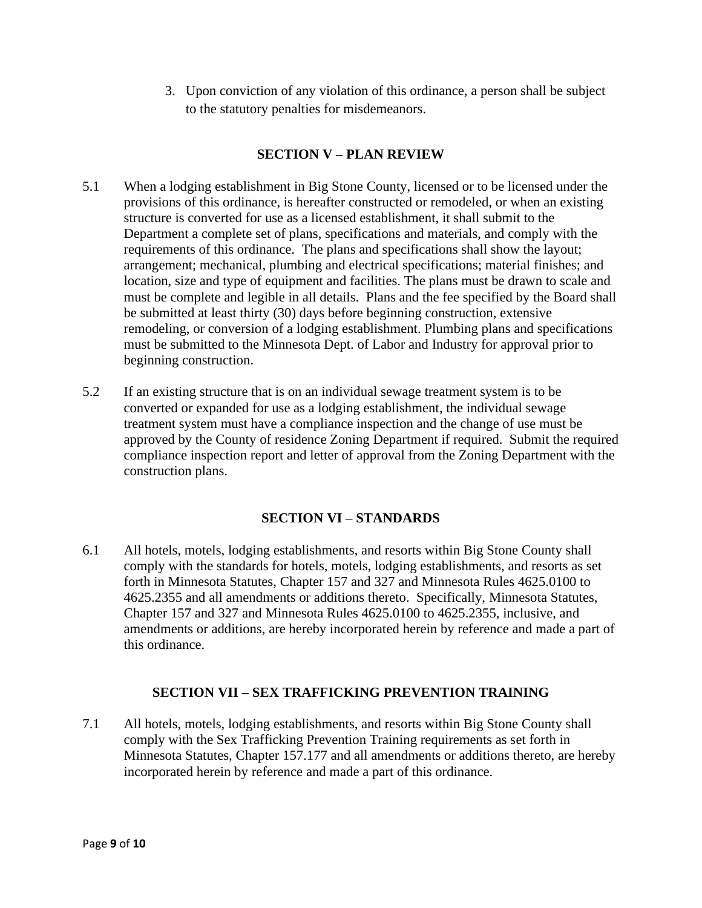3. Upon conviction of any violation of this ordinance, a person shall be subject to the statutory penalties for misdemeanors.

## **SECTION V – PLAN REVIEW**

- 5.1 When a lodging establishment in Big Stone County, licensed or to be licensed under the provisions of this ordinance, is hereafter constructed or remodeled, or when an existing structure is converted for use as a licensed establishment, it shall submit to the Department a complete set of plans, specifications and materials, and comply with the requirements of this ordinance. The plans and specifications shall show the layout; arrangement; mechanical, plumbing and electrical specifications; material finishes; and location, size and type of equipment and facilities. The plans must be drawn to scale and must be complete and legible in all details. Plans and the fee specified by the Board shall be submitted at least thirty (30) days before beginning construction, extensive remodeling, or conversion of a lodging establishment. Plumbing plans and specifications must be submitted to the Minnesota Dept. of Labor and Industry for approval prior to beginning construction.
- 5.2 If an existing structure that is on an individual sewage treatment system is to be converted or expanded for use as a lodging establishment, the individual sewage treatment system must have a compliance inspection and the change of use must be approved by the County of residence Zoning Department if required. Submit the required compliance inspection report and letter of approval from the Zoning Department with the construction plans.

## **SECTION VI – STANDARDS**

6.1 All hotels, motels, lodging establishments, and resorts within Big Stone County shall comply with the standards for hotels, motels, lodging establishments, and resorts as set forth in Minnesota Statutes, Chapter 157 and 327 and Minnesota Rules 4625.0100 to 4625.2355 and all amendments or additions thereto. Specifically, Minnesota Statutes, Chapter 157 and 327 and Minnesota Rules 4625.0100 to 4625.2355, inclusive, and amendments or additions, are hereby incorporated herein by reference and made a part of this ordinance.

## **SECTION VII – SEX TRAFFICKING PREVENTION TRAINING**

7.1 All hotels, motels, lodging establishments, and resorts within Big Stone County shall comply with the Sex Trafficking Prevention Training requirements as set forth in Minnesota Statutes, Chapter 157.177 and all amendments or additions thereto, are hereby incorporated herein by reference and made a part of this ordinance.